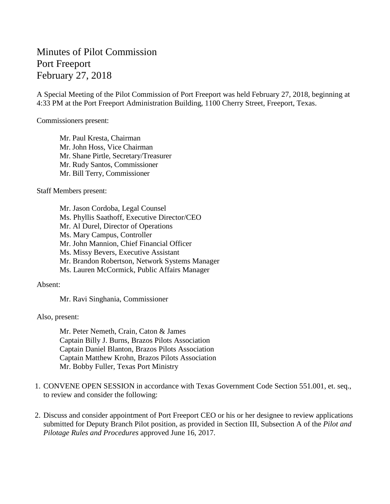## Minutes of Pilot Commission Port Freeport February 27, 2018

A Special Meeting of the Pilot Commission of Port Freeport was held February 27, 2018, beginning at 4:33 PM at the Port Freeport Administration Building, 1100 Cherry Street, Freeport, Texas.

Commissioners present:

Mr. Paul Kresta, Chairman Mr. John Hoss, Vice Chairman Mr. Shane Pirtle, Secretary/Treasurer Mr. Rudy Santos, Commissioner Mr. Bill Terry, Commissioner

Staff Members present:

Mr. Jason Cordoba, Legal Counsel Ms. Phyllis Saathoff, Executive Director/CEO Mr. Al Durel, Director of Operations Ms. Mary Campus, Controller Mr. John Mannion, Chief Financial Officer Ms. Missy Bevers, Executive Assistant Mr. Brandon Robertson, Network Systems Manager Ms. Lauren McCormick, Public Affairs Manager

Absent:

Mr. Ravi Singhania, Commissioner

Also, present:

Mr. Peter Nemeth, Crain, Caton & James Captain Billy J. Burns, Brazos Pilots Association Captain Daniel Blanton, Brazos Pilots Association Captain Matthew Krohn, Brazos Pilots Association Mr. Bobby Fuller, Texas Port Ministry

- 1. CONVENE OPEN SESSION in accordance with Texas Government Code Section 551.001, et. seq., to review and consider the following:
- 2. Discuss and consider appointment of Port Freeport CEO or his or her designee to review applications submitted for Deputy Branch Pilot position, as provided in Section III, Subsection A of the *Pilot and Pilotage Rules and Procedures* approved June 16, 2017.